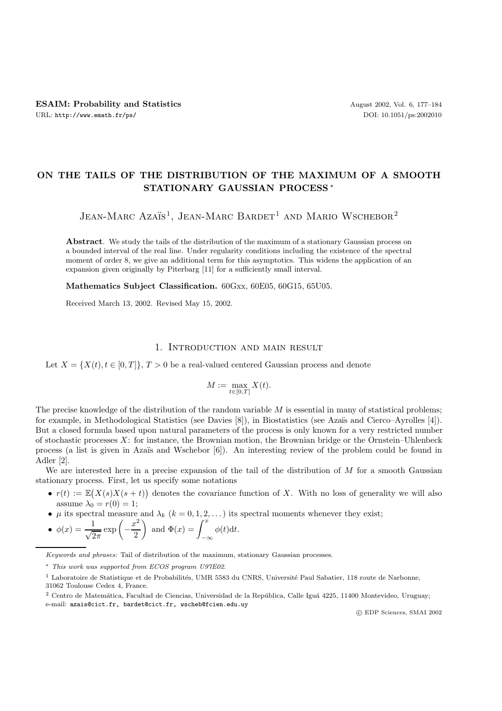# **ON THE TAILS OF THE DISTRIBUTION OF THE MAXIMUM OF A SMOOTH STATIONARY GAUSSIAN PROCESS** ∗

JEAN-MARC AZAÏS<sup>1</sup>, JEAN-MARC BARDET<sup>1</sup> AND MARIO WSCHEBOR<sup>2</sup>

**Abstract**. We study the tails of the distribution of the maximum of a stationary Gaussian process on a bounded interval of the real line. Under regularity conditions including the existence of the spectral moment of order 8, we give an additional term for this asymptotics. This widens the application of an expansion given originally by Piterbarg [11] for a sufficiently small interval.

**Mathematics Subject Classification.** 60Gxx, 60E05, 60G15, 65U05.

Received March 13, 2002. Revised May 15, 2002.

## 1. Introduction and main result

Let  $X = \{X(t), t \in [0,T]\}, T > 0$  be a real-valued centered Gaussian process and denote

$$
M:=\max_{t\in[0,T]}X(t).
$$

The precise knowledge of the distribution of the random variable  $M$  is essential in many of statistical problems; for example, in Methodological Statistics (see Davies [8]), in Biostatistics (see Azaïs and Cierco–Ayrolles [4]). But a closed formula based upon natural parameters of the process is only known for a very restricted number of stochastic processes  $X$ : for instance, the Brownian motion, the Brownian bridge or the Ornstein–Uhlenbeck process (a list is given in Azaïs and Wschebor [6]). An interesting review of the problem could be found in Adler [2].

We are interested here in a precise expansion of the tail of the distribution of  $M$  for a smooth Gaussian stationary process. First, let us specify some notations

- $r(t) := \mathbb{E}(X(s)X(s+t))$  denotes the covariance function of X. With no loss of generality we will also assume  $\lambda_0 = r(0) = 1$ ;
- $\mu$  its spectral measure and  $\lambda_k$  ( $k = 0, 1, 2, \ldots$ ) its spectral moments whenever they exist;
- $\phi(x) = \frac{1}{\sqrt{2\pi}} \exp\left(-\frac{x^2}{2}\right)$ ) and  $\Phi(x) = \int^x$ −∞  $\phi(t)dt$ .

e-mail: azais@cict.fr, bardet@cict.fr, wscheb@fcien.edu.uy

c EDP Sciences, SMAI 2002

Keywords and phrases: Tail of distribution of the maximum, stationary Gaussian processes.

<sup>∗</sup> This work was supported from ECOS program U97E02.

<sup>&</sup>lt;sup>1</sup> Laboratoire de Statistique et de Probabilités, UMR 5583 du CNRS, Université Paul Sabatier, 118 route de Narbonne, 31062 Toulouse Cedex 4, France.

 $2$  Centro de Matemática, Facultad de Ciencias, Universidad de la República, Calle Iguá 4225, 11400 Montevideo, Uruguay;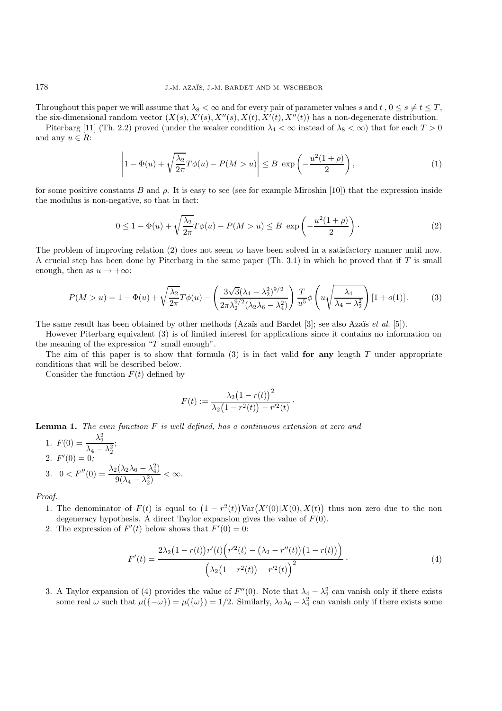Throughout this paper we will assume that  $\lambda_8 < \infty$  and for every pair of parameter values s and t,  $0 \leq s \neq t \leq T$ , the six-dimensional random vector  $(X(s), X'(s), X''(s), X(t), X'(t), X''(t))$  has a non-degenerate distribution.

Piterbarg [11] (Th. 2.2) proved (under the weaker condition  $\lambda_4 < \infty$  instead of  $\lambda_8 < \infty$ ) that for each  $T > 0$ and any  $u \in R$ :

$$
\left|1 - \Phi(u) + \sqrt{\frac{\lambda_2}{2\pi}} T\phi(u) - P(M > u)\right| \le B \exp\left(-\frac{u^2(1+\rho)}{2}\right),\tag{1}
$$

for some positive constants B and  $\rho$ . It is easy to see (see for example Miroshin [10]) that the expression inside the modulus is non-negative, so that in fact:

$$
0 \le 1 - \Phi(u) + \sqrt{\frac{\lambda_2}{2\pi}} T\phi(u) - P(M > u) \le B \exp\left(-\frac{u^2(1+\rho)}{2}\right). \tag{2}
$$

The problem of improving relation (2) does not seem to have been solved in a satisfactory manner until now. A crucial step has been done by Piterbarg in the same paper (Th. 3.1) in which he proved that if  $T$  is small enough, then as  $u \rightarrow +\infty$ :

$$
P(M > u) = 1 - \Phi(u) + \sqrt{\frac{\lambda_2}{2\pi}} T\phi(u) - \left(\frac{3\sqrt{3}(\lambda_4 - \lambda_2^2)^{9/2}}{2\pi\lambda_2^{9/2}(\lambda_2\lambda_6 - \lambda_4^2)}\right) \frac{T}{u^5} \phi\left(u\sqrt{\frac{\lambda_4}{\lambda_4 - \lambda_2^2}}\right) [1 + o(1)].
$$
 (3)

The same result has been obtained by other methods (Azaïs and Bardet [3]; see also Azaïs *et al.* [5]).

However Piterbarg equivalent (3) is of limited interest for applications since it contains no information on the meaning of the expression " $T$  small enough".

The aim of this paper is to show that formula (3) is in fact valid **for any** length T under appropriate conditions that will be described below.

Consider the function  $F(t)$  defined by

$$
F(t) := \frac{\lambda_2 (1 - r(t))^2}{\lambda_2 (1 - r^2(t)) - r'^2(t)}.
$$

**Lemma 1.** The even function F is well defined, has a continuous extension at zero and

1. 
$$
F(0) = \frac{\lambda_2^2}{\lambda_4 - \lambda_2^2}
$$
;  
\n2.  $F'(0) = 0$ ;  
\n3.  $0 < F''(0) = \frac{\lambda_2(\lambda_2\lambda_6 - \lambda_4^2)}{9(\lambda_4 - \lambda_2^2)} < \infty$ .

Proof.

- 1. The denominator of  $F(t)$  is equal to  $(1 r^2(t))\text{Var}(X'(0)|X(0), X(t))$  thus non zero due to the non degeneracy hypothesis. A direct Taylor expansion gives the value of  $F(0)$ .
- 2. The expression of  $F'(t)$  below shows that  $F'(0) = 0$ :

$$
F'(t) = \frac{2\lambda_2(1 - r(t))r'(t)\left(r'^2(t) - \left(\lambda_2 - r''(t)\right)(1 - r(t))\right)}{\left(\lambda_2(1 - r^2(t)) - r'^2(t)\right)^2}.
$$
\n(4)

3. A Taylor expansion of (4) provides the value of  $F''(0)$ . Note that  $\lambda_4 - \lambda_2^2$  can vanish only if there exists some real  $\omega$  such that  $\mu(\{-\omega\}) = \mu(\{\omega\}) = 1/2$ . Similarly,  $\lambda_2\lambda_6 - \lambda_4^2$  can vanish only if there exists some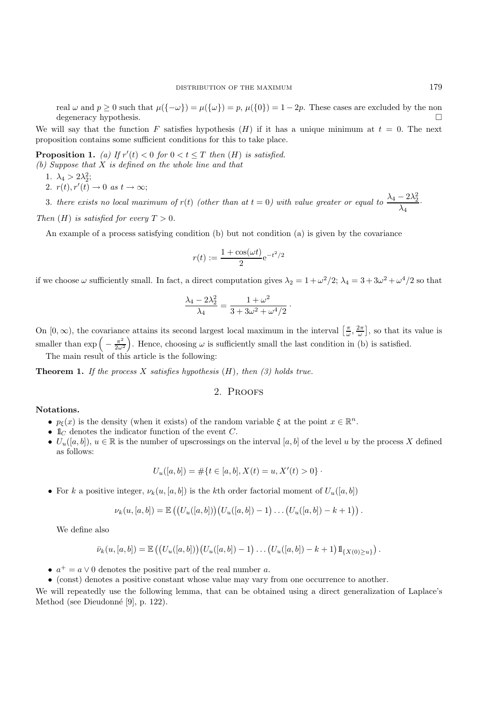real  $\omega$  and  $p \ge 0$  such that  $\mu({-\omega}) = \mu({\omega}) = p$ ,  $\mu({0}) = 1 - 2p$ . These cases are excluded by the non degeneracy hypothesis.

We will say that the function F satisfies hypothesis  $(H)$  if it has a unique minimum at  $t = 0$ . The next proposition contains some sufficient conditions for this to take place.

**Proposition 1.** (a) If  $r'(t) < 0$  for  $0 < t \leq T$  then  $(H)$  is satisfied. (b) Suppose that X is defined on the whole line and that

- 1.  $\lambda_4 > 2\lambda_2^2$ ;
- 2.  $r(t), r'(t) \rightarrow 0$  as  $t \rightarrow \infty$ ;
- 3. there exists no local maximum of r(t) (other than at  $t = 0$ ) with value greater or equal to  $\frac{\lambda_4 2\lambda_2^2}{\lambda_1}$  $\frac{2\pi}{\lambda_4}$ .

Then  $(H)$  is satisfied for every  $T > 0$ .

An example of a process satisfying condition (b) but not condition (a) is given by the covariance

$$
r(t) := \frac{1 + \cos(\omega t)}{2} e^{-t^2/2}
$$

if we choose  $\omega$  sufficiently small. In fact, a direct computation gives  $\lambda_2 = 1 + \omega^2/2$ ;  $\lambda_4 = 3 + 3\omega^2 + \omega^4/2$  so that

$$
\frac{\lambda_4 - 2\lambda_2^2}{\lambda_4} = \frac{1 + \omega^2}{3 + 3\omega^2 + \omega^4/2}.
$$

On  $[0, \infty)$ , the covariance attains its second largest local maximum in the interval  $\left[\frac{\pi}{\omega}, \frac{2\pi}{\omega}\right]$ , so that its value is smaller than  $\exp\left(-\frac{\pi^2}{2\omega^2}\right)$ . Hence, choosing  $\omega$  is sufficiently small the last condition in (b) is satisfied. The main result of this article is the following:

**Theorem 1.** If the process X satisfies hypothesis  $(H)$ , then  $(3)$  holds true.

## 2. Proofs

#### **Notations.**

- $p_{\xi}(x)$  is the density (when it exists) of the random variable  $\xi$  at the point  $x \in \mathbb{R}^{n}$ .
- $\mathbb{1}_C$  denotes the indicator function of the event C.
- $U_u([a, b]), u \in \mathbb{R}$  is the number of upscrossings on the interval  $[a, b]$  of the level u by the process X defined as follows:

$$
U_u([a, b]) = #\{t \in [a, b], X(t) = u, X'(t) > 0\}.
$$

• For k a positive integer,  $\nu_k(u, [a, b])$  is the kth order factorial moment of  $U_u([a, b])$ 

$$
\nu_k(u, [a, b]) = \mathbb{E}\left( (U_u([a, b]))(U_u([a, b]) - 1) \dots (U_u([a, b]) - k + 1) \right).
$$

We define also

$$
\bar{\nu}_k(u,[a,b]) = \mathbb{E}\left( (U_u([a,b])) (U_u([a,b]) - 1) \dots (U_u([a,b]) - k + 1) 1\!\!1_{\{X(0) \geq u\}} \right).
$$

•  $a^+ = a \vee 0$  denotes the positive part of the real number a.

• (const) denotes a positive constant whose value may vary from one occurrence to another.

We will repeatedly use the following lemma, that can be obtained using a direct generalization of Laplace's Method (see Dieudonné [9], p. 122).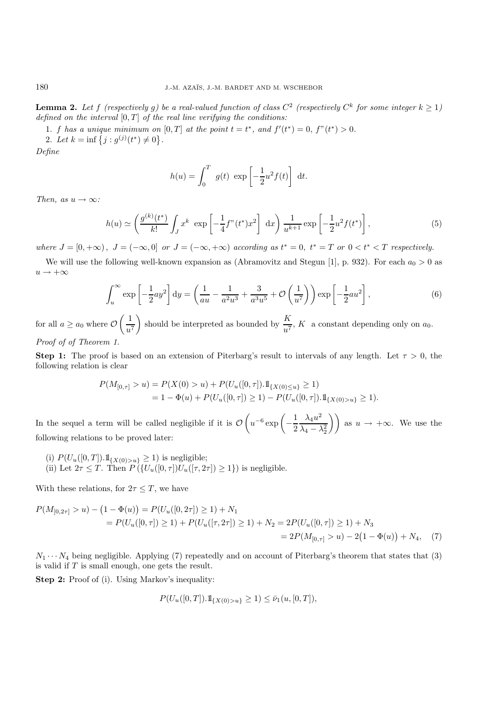**Lemma 2.** Let f (respectively g) be a real-valued function of class  $C^2$  (respectively  $C^k$  for some integer  $k \geq 1$ ) defined on the interval  $[0, T]$  of the real line verifying the conditions:

1. f has a unique minimum on  $[0, T]$  at the point  $t = t^*$ , and  $f'(t^*) = 0$ ,  $f''(t^*) > 0$ . 2. Let  $k = \inf \{ j : g^{(j)}(t^*) \neq 0 \}.$ 

Define

$$
h(u) = \int_0^T g(t) \exp\left[-\frac{1}{2}u^2 f(t)\right] dt.
$$

Then, as  $u \to \infty$ :

$$
h(u) \simeq \left(\frac{g^{(k)}(t^*)}{k!} \int_J x^k \exp\left[-\frac{1}{4}f''(t^*)x^2\right] dx\right) \frac{1}{u^{k+1}} \exp\left[-\frac{1}{2}u^2 f(t^*)\right],\tag{5}
$$

where  $J = [0, +\infty)$ ,  $J = (-\infty, 0]$  or  $J = (-\infty, +\infty)$  according as  $t^* = 0$ ,  $t^* = T$  or  $0 < t^* < T$  respectively.

We will use the following well-known expansion as (Abramovitz and Stegun [1], p. 932). For each  $a_0 > 0$  as  $u \rightarrow +\infty$ 

$$
\int_{u}^{\infty} \exp\left[-\frac{1}{2}ay^2\right] dy = \left(\frac{1}{au} - \frac{1}{a^2u^3} + \frac{3}{a^3u^5} + \mathcal{O}\left(\frac{1}{u^7}\right)\right) \exp\left[-\frac{1}{2}au^2\right],\tag{6}
$$

for all  $a \ge a_0$  where  $\mathcal{O}\left(\frac{1}{\sigma^2}\right)$  $u^7$ ) should be interpreted as bounded by  $\frac{K}{u^7}$ , K a constant depending only on  $a_0$ . Proof of of Theorem 1.

**Step 1:** The proof is based on an extension of Piterbarg's result to intervals of any length. Let  $\tau > 0$ , the following relation is clear

$$
P(M_{[0,\tau]} > u) = P(X(0) > u) + P(U_u([0,\tau]).1\mathbb{1}_{\{X(0) \le u\}} \ge 1)
$$
  
= 1 -  $\Phi(u) + P(U_u([0,\tau]) \ge 1) - P(U_u([0,\tau]).1\mathbb{1}_{\{X(0) > u\}} \ge 1).$ 

In the sequel a term will be called negligible if it is  $\mathcal O$  $\bigg( u^{-6} \exp\bigg( -\frac{1}{2}$  $\lambda_4 u^2$  $\lambda_4-\lambda_2^2$ ) as  $u \rightarrow +\infty$ . We use the following relations to be proved later:

(i)  $P(U_u([0, T]).1\mathbb{1}_{\{X(0) > u\}} \geq 1)$  is negligible; (ii) Let  $2\tau \leq T$ . Then  $P(\lbrace U_u([0,\tau])U_u([\tau,2\tau]) \geq 1 \rbrace)$  is negligible.

With these relations, for  $2\tau \leq T$ , we have

$$
P(M_{[0,2\tau]} > u) - (1 - \Phi(u)) = P(U_u([0,2\tau]) \ge 1) + N_1
$$
  
=  $P(U_u([0,\tau]) \ge 1) + P(U_u([\tau,2\tau]) \ge 1) + N_2 = 2P(U_u([0,\tau]) \ge 1) + N_3$   
=  $2P(M_{[0,\tau]} > u) - 2(1 - \Phi(u)) + N_4$ , (7)

 $N_1 \cdots N_4$  being negligible. Applying (7) repeatedly and on account of Piterbarg's theorem that states that (3) is valid if T is small enough, one gets the result.

**Step 2:** Proof of (i). Using Markov's inequality:

$$
P(U_u([0,T]).1\mathbb{1}_{\{X(0)>u\}}\geq 1)\leq \bar{\nu}_1(u,[0,T]),
$$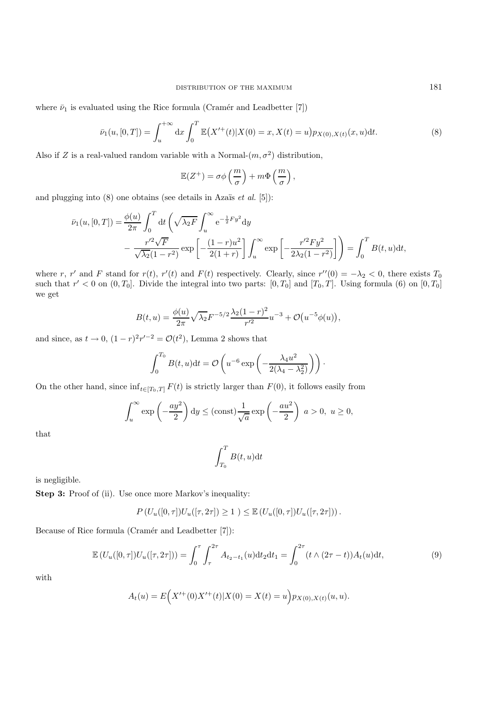where  $\bar{\nu}_1$  is evaluated using the Rice formula (Cramér and Leadbetter [7])

$$
\bar{\nu}_1(u, [0, T]) = \int_u^{+\infty} dx \int_0^T \mathbb{E}(X'^{+}(t) | X(0) = x, X(t) = u) p_{X(0), X(t)}(x, u) dt.
$$
\n(8)

Also if Z is a real-valued random variable with a Normal- $(m, \sigma^2)$  distribution,

$$
\mathbb{E}(Z^+) = \sigma \phi\left(\frac{m}{\sigma}\right) + m\Phi\left(\frac{m}{\sigma}\right),
$$

and plugging into  $(8)$  one obtains (see details in Azaïs *et al.* [5]):

$$
\bar{\nu}_1(u, [0, T]) = \frac{\phi(u)}{2\pi} \int_0^T dt \left( \sqrt{\lambda_2 F} \int_u^\infty e^{-\frac{1}{2}F y^2} dy - \frac{r'^2 \sqrt{F}}{\sqrt{\lambda_2} (1 - r^2)} \exp\left[ -\frac{(1 - r)u^2}{2(1 + r)} \right] \int_u^\infty \exp\left[ -\frac{r'^2 F y^2}{2\lambda_2 (1 - r^2)} \right] \right) = \int_0^T B(t, u) dt,
$$

where r, r' and F stand for  $r(t)$ , r'(t) and  $F(t)$  respectively. Clearly, since  $r''(0) = -\lambda_2 < 0$ , there exists  $T_0$ such that  $r' < 0$  on  $(0, T_0]$ . Divide the integral into two parts:  $[0, T_0]$  and  $[T_0, T]$ . Using formula (6) on  $[0, T_0]$ we get

$$
B(t, u) = \frac{\phi(u)}{2\pi} \sqrt{\lambda_2} F^{-5/2} \frac{\lambda_2 (1 - r)^2}{r'^2} u^{-3} + \mathcal{O}(u^{-5} \phi(u)),
$$

and since, as  $t \to 0$ ,  $(1 - r)^2 r^{-2} = \mathcal{O}(t^2)$ , Lemma 2 shows that

$$
\int_0^{T_0} B(t, u) dt = \mathcal{O}\left(u^{-6} \exp\left(-\frac{\lambda_4 u^2}{2(\lambda_4 - \lambda_2^2)}\right)\right).
$$

On the other hand, since  $\inf_{t\in[T_0,T]} F(t)$  is strictly larger than  $F(0)$ , it follows easily from

$$
\int_{u}^{\infty} \exp\left(-\frac{ay^2}{2}\right) dy \le (\text{const}) \frac{1}{\sqrt{a}} \exp\left(-\frac{au^2}{2}\right) \ a > 0, \ u \ge 0,
$$

that

$$
\int_{T_0}^{T} B(t, u) \mathrm{d}t
$$

is negligible.

**Step 3:** Proof of (ii). Use once more Markov's inequality:

$$
P(U_u([0,\tau])U_u([\tau,2\tau]) \ge 1) \le \mathbb{E}(U_u([0,\tau])U_u([\tau,2\tau])) .
$$

Because of Rice formula (Cramér and Leadbetter [7]):

$$
\mathbb{E}\left(U_u([0,\tau])U_u([\tau,2\tau])\right) = \int_0^{\tau} \int_{\tau}^{2\tau} A_{t_2-t_1}(u)dt_2dt_1 = \int_0^{2\tau} (t \wedge (2\tau - t))A_t(u)dt,
$$
\n(9)

with

$$
A_t(u) = E(X'^+(0)X'^+(t)|X(0) = X(t) = u) p_{X(0),X(t)}(u,u).
$$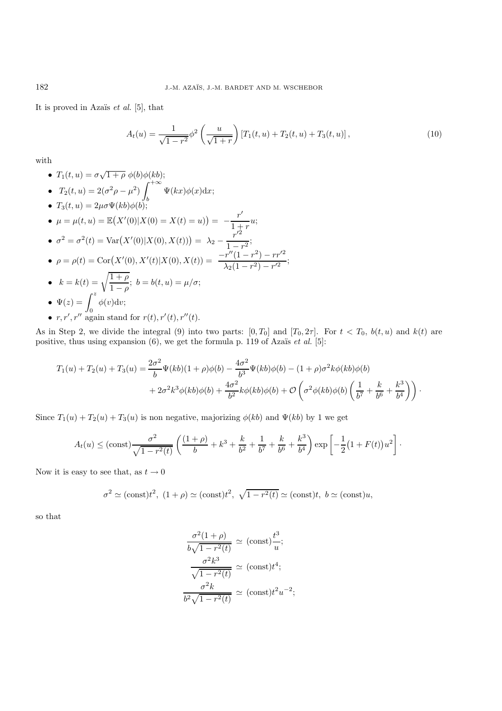It is proved in Azaïs  $et \ al.$  [5], that

$$
A_t(u) = \frac{1}{\sqrt{1 - r^2}} \phi^2 \left( \frac{u}{\sqrt{1 + r}} \right) \left[ T_1(t, u) + T_2(t, u) + T_3(t, u) \right],\tag{10}
$$

with

- $T_1(t, u) = \sigma$ •  $T_1(t, u) = \sigma \sqrt{1 + \rho} \phi(b) \phi(kb);$
- $T_2(t, u) = 2(\sigma^2 \rho \mu^2) \int^{+\infty}$  $\Psi(kx)\phi(x)\mathrm{d}x;$
- b •  $T_3(t, u)=2\mu\sigma\Psi(kb)\phi(b);$
- $\mu = \mu(t, u) = \mathbb{E}(X'(0)|X(0) = X(t) = u) = -\frac{r'}{1+r}u;$
- $\sigma^2 = \sigma^2(t) = \text{Var}(X'(0)|X(0), X(t)) = \lambda_2 \frac{r'^2}{1 r^2};$ •  $\rho = \rho(t) = \text{Cor}(X'(0), X'(t)|X(0), X(t)) = \frac{-r''(1 - r^2) - rr'^2}{\lambda_2(1 - r^2) - r'^2};$
- $k = k(t) = \sqrt{\frac{1+\rho}{1-\rho}}; b = b(t, u) = \mu/\sigma;$ •  $\Psi(z) = \int^z$  $\phi(v)dv;$
- 0 •  $r, r', r''$  again stand for  $r(t), r'(t), r''(t)$ .

As in Step 2, we divide the integral (9) into two parts:  $[0, T_0]$  and  $[T_0, 2\tau]$ . For  $t < T_0$ ,  $b(t, u)$  and  $k(t)$  are positive, thus using expansion  $(6)$ , we get the formula p. 119 of Azaïs et al. [5]:

$$
T_1(u) + T_2(u) + T_3(u) = \frac{2\sigma^2}{b} \Psi(kb)(1+\rho)\phi(b) - \frac{4\sigma^2}{b^3} \Psi(kb)\phi(b) - (1+\rho)\sigma^2 k\phi(kb)\phi(b) + 2\sigma^2 k^3 \phi(kb)\phi(b) + \frac{4\sigma^2}{b^2} k\phi(kb)\phi(b) + \mathcal{O}\left(\sigma^2 \phi(kb)\phi(b)\left(\frac{1}{b^7} + \frac{k}{b^6} + \frac{k^3}{b^4}\right)\right).
$$

Since  $T_1(u) + T_2(u) + T_3(u)$  is non negative, majorizing  $\phi(kb)$  and  $\Psi(kb)$  by 1 we get

$$
A_t(u) \leq (\text{const}) \frac{\sigma^2}{\sqrt{1-r^2(t)}} \left( \frac{(1+\rho)}{b} + k^3 + \frac{k}{b^2} + \frac{1}{b^7} + \frac{k}{b^6} + \frac{k^3}{b^4} \right) \exp\left[ -\frac{1}{2} (1 + F(t)) u^2 \right].
$$

Now it is easy to see that, as  $t \to 0$ 

$$
\sigma^2 \simeq (\text{const})t^2
$$
,  $(1+\rho) \simeq (\text{const})t^2$ ,  $\sqrt{1-r^2(t)} \simeq (\text{const})t$ ,  $b \simeq (\text{const})u$ ,

so that

$$
\frac{\sigma^2(1+\rho)}{b\sqrt{1-r^2(t)}} \simeq (\text{const})\frac{t^3}{u};
$$

$$
\frac{\sigma^2 k^3}{\sqrt{1-r^2(t)}} \simeq (\text{const})t^4;
$$

$$
\frac{\sigma^2 k}{b^2\sqrt{1-r^2(t)}} \simeq (\text{const})t^2u^{-2};
$$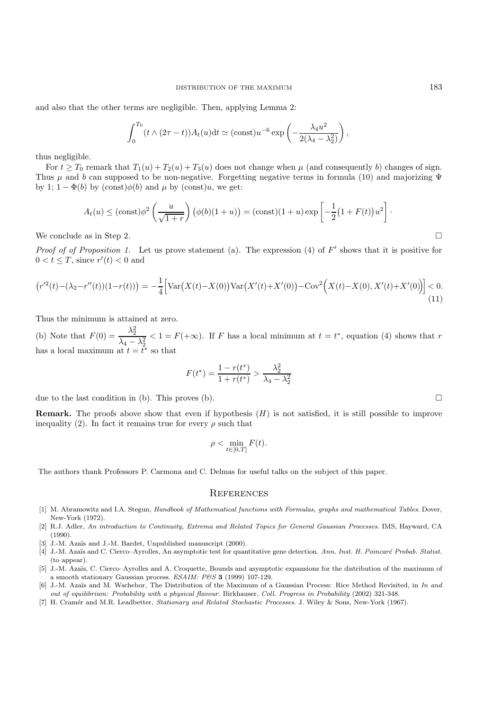and also that the other terms are negligible. Then, applying Lemma 2:

$$
\int_0^{T_0} (t \wedge (2\tau - t)) A_t(u) dt \simeq (\text{const}) u^{-6} \exp \left(-\frac{\lambda_4 u^2}{2(\lambda_4 - \lambda_2^2)}\right),
$$

thus negligible.

For  $t \geq T_0$  remark that  $T_1(u) + T_2(u) + T_3(u)$  does not change when  $\mu$  (and consequently b) changes of sign. Thus  $\mu$  and b can supposed to be non-negative. Forgetting negative terms in formula (10) and majorizing  $\Psi$ by 1;  $1 - \Phi(b)$  by  $(\text{const})\phi(b)$  and  $\mu$  by  $(\text{const})u$ , we get:

$$
A_t(u) \leq (\text{const})\phi^2 \left(\frac{u}{\sqrt{1+r}}\right) \left(\phi(b)(1+u)\right) = (\text{const})(1+u)\exp\left[-\frac{1}{2}(1+F(t))u^2\right].
$$

We conclude as in Step 2.  $\Box$ 

*Proof of Proposition 1.* Let us prove statement (a). The expression (4) of  $F'$  shows that it is positive for  $0 < t \leq T$ , since  $r'(t) < 0$  and

$$
\left(r'^{2}(t) - (\lambda_{2} - r''(t))(1 - r(t))\right) = -\frac{1}{4} \left[ \text{Var}\left(X(t) - X(0)\right) \text{Var}\left(X'(t) + X'(0)\right) - \text{Cov}^{2}\left(X(t) - X(0), X'(t) + X'(0)\right) \right] < 0. \tag{11}
$$

Thus the minimum is attained at zero.

(b) Note that  $F(0) = \frac{\lambda_2^2}{\lambda_4 - \lambda_2^2}$  $< 1 = F(+\infty)$ . If F has a local minimum at  $t = t^*$ , equation (4) shows that r has a local maximum at  $t = \tilde{t}^*$  so that

$$
F(t^*) = \frac{1 - r(t^*)}{1 + r(t^*)} > \frac{\lambda_2^2}{\lambda_4 - \lambda_2^2}
$$

due to the last condition in (b). This proves (b).

**Remark.** The proofs above show that even if hypothesis  $(H)$  is not satisfied, it is still possible to improve inequality (2). In fact it remains true for every  $\rho$  such that

$$
\rho < \min_{t \in [0,T]} F(t).
$$

The authors thank Professors P. Carmona and C. Delmas for useful talks on the subject of this paper.

#### **REFERENCES**

- [1] M. Abramowitz and I.A. Stegun, Handbook of Mathematical functions with Formulas, graphs and mathematical Tables. Dover, New-York (1972).
- [2] R.J. Adler, An introduction to Continuity, Extrema and Related Topics for General Gaussian Processes. IMS, Hayward, CA  $(1990)$ .
- [3] J.-M. Azaïs and J.-M. Bardet, Unpublished manuscript (2000).
- [4] J.-M. Azaïs and C. Cierco–Ayrolles, An asymptotic test for quantitative gene detection. Ann. Inst. H. Poincaré Probab. Statist. (to appear).
- [5] J.-M. Azaïs, C. Cierco–Ayrolles and A. Croquette, Bounds and asymptotic expansions for the distribution of the maximum of a smooth stationary Gaussian process. ESAIM: P&S 3 (1999) 107-129.
- [6] J.-M. Azaïs and M. Wschebor, The Distribution of the Maximum of a Gaussian Process: Rice Method Revisited, in In and out of equilibrium: Probability with a physical flavour. Birkhauser, Coll. Progress in Probability (2002) 321-348.
- [7] H. Cramér and M.R. Leadbetter, Stationary and Related Stochastic Processes. J. Wiley & Sons, New-York (1967).